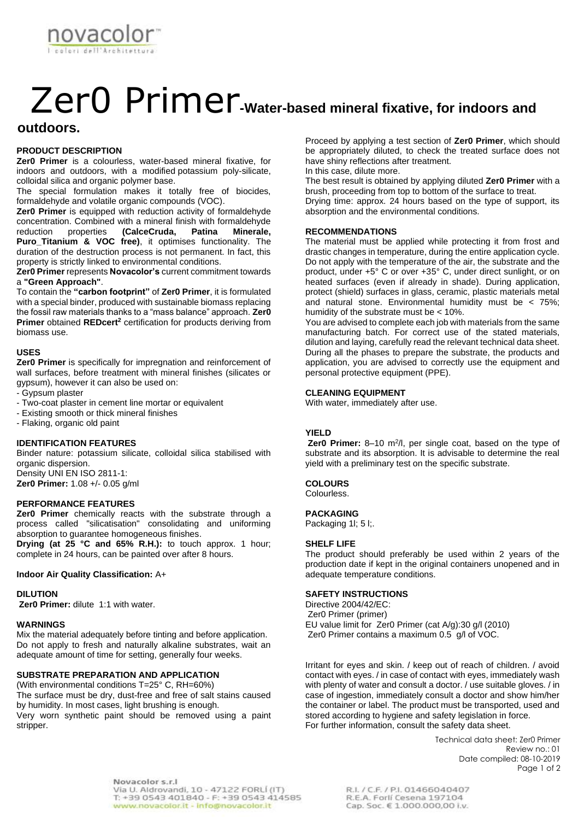

# Zer0 Primer**-Water-based mineral fixative, for indoors and**

## **outdoors.**

#### **PRODUCT DESCRIPTION**

**Zer0 Primer** is a colourless, water-based mineral fixative, for indoors and outdoors, with a modified potassium poly-silicate, colloidal silica and organic polymer base.

The special formulation makes it totally free of biocides, formaldehyde and volatile organic compounds (VOC).

**Zer0 Primer** is equipped with reduction activity of formaldehyde concentration. Combined with a mineral finish with formaldehyde<br>reduction properties (CalceCruda, Patina Minerale, reduction properties **(CalceCruda, Patina Minerale, Puro\_Titanium & VOC free)**, it optimises functionality. The duration of the destruction process is not permanent. In fact, this property is strictly linked to environmental conditions.

**Zer0 Primer** represents **Novacolor's** current commitment towards a **"Green Approach"**.

To contain the **"carbon footprint"** of **Zer0 Primer**, it is formulated with a special binder, produced with sustainable biomass replacing the fossil raw materials thanks to a "mass balance" approach. **Zer0 Primer** obtained **REDcert<sup>2</sup>** certification for products deriving from biomass use.

#### **USES**

**Zer0 Primer** is specifically for impregnation and reinforcement of wall surfaces, before treatment with mineral finishes (silicates or gypsum), however it can also be used on:

- Gypsum plaster
- Two-coat plaster in cement line mortar or equivalent
- Existing smooth or thick mineral finishes
- Flaking, organic old paint

### **IDENTIFICATION FEATURES**

Binder nature: potassium silicate, colloidal silica stabilised with organic dispersion. Density UNI EN ISO 2811-1: **Zer0 Primer:** 1.08 +/- 0.05 g/ml

#### **PERFORMANCE FEATURES**

**Zer0 Primer** chemically reacts with the substrate through a process called "silicatisation" consolidating and uniforming absorption to guarantee homogeneous finishes.

**Drying (at 25 °C and 65% R.H.):** to touch approx. 1 hour; complete in 24 hours, can be painted over after 8 hours.

#### **Indoor Air Quality Classification:** A+

#### **DILUTION**

**Zer0 Primer:** dilute 1:1 with water.

#### **WARNINGS**

Mix the material adequately before tinting and before application. Do not apply to fresh and naturally alkaline substrates, wait an adequate amount of time for setting, generally four weeks.

#### **SUBSTRATE PREPARATION AND APPLICATION**

(With environmental conditions T=25° C, RH=60%) The surface must be dry, dust-free and free of salt stains caused by humidity. In most cases, light brushing is enough. Very worn synthetic paint should be removed using a paint stripper.

Proceed by applying a test section of **Zer0 Primer**, which should be appropriately diluted, to check the treated surface does not have shiny reflections after treatment.

In this case, dilute more.

The best result is obtained by applying diluted **Zer0 Primer** with a brush, proceeding from top to bottom of the surface to treat. Drying time: approx. 24 hours based on the type of support, its absorption and the environmental conditions.

#### **RECOMMENDATIONS**

The material must be applied while protecting it from frost and drastic changes in temperature, during the entire application cycle. Do not apply with the temperature of the air, the substrate and the product, under +5° C or over +35° C, under direct sunlight, or on heated surfaces (even if already in shade). During application, protect (shield) surfaces in glass, ceramic, plastic materials metal and natural stone. Environmental humidity must be < 75%; humidity of the substrate must be < 10%.

You are advised to complete each job with materials from the same manufacturing batch. For correct use of the stated materials, dilution and laying, carefully read the relevant technical data sheet. During all the phases to prepare the substrate, the products and application, you are advised to correctly use the equipment and personal protective equipment (PPE).

#### **CLEANING EQUIPMENT**

With water, immediately after use.

#### **YIELD**

**Zer0 Primer:** 8-10 m<sup>2</sup>/l, per single coat, based on the type of substrate and its absorption. It is advisable to determine the real yield with a preliminary test on the specific substrate.

#### **COLOURS**

Colourless.

#### **PACKAGING**

Packaging 1l; 5 l;.

#### **SHELF LIFE**

The product should preferably be used within 2 years of the production date if kept in the original containers unopened and in adequate temperature conditions.

#### **SAFETY INSTRUCTIONS**

Directive 2004/42/EC: Zer0 Primer (primer) EU value limit for Zer0 Primer (cat A/g):30 g/l (2010) Zer0 Primer contains a maximum 0.5 g/l of VOC.

Irritant for eyes and skin. / keep out of reach of children. / avoid contact with eyes. / in case of contact with eyes, immediately wash with plenty of water and consult a doctor. / use suitable gloves. / in case of ingestion, immediately consult a doctor and show him/her the container or label. The product must be transported, used and stored according to hygiene and safety legislation in force. For further information, consult the safety data sheet.

> Technical data sheet: Zer0 Primer Review no.: 01 Date compiled: 08-10-2019 Page 1 of 2